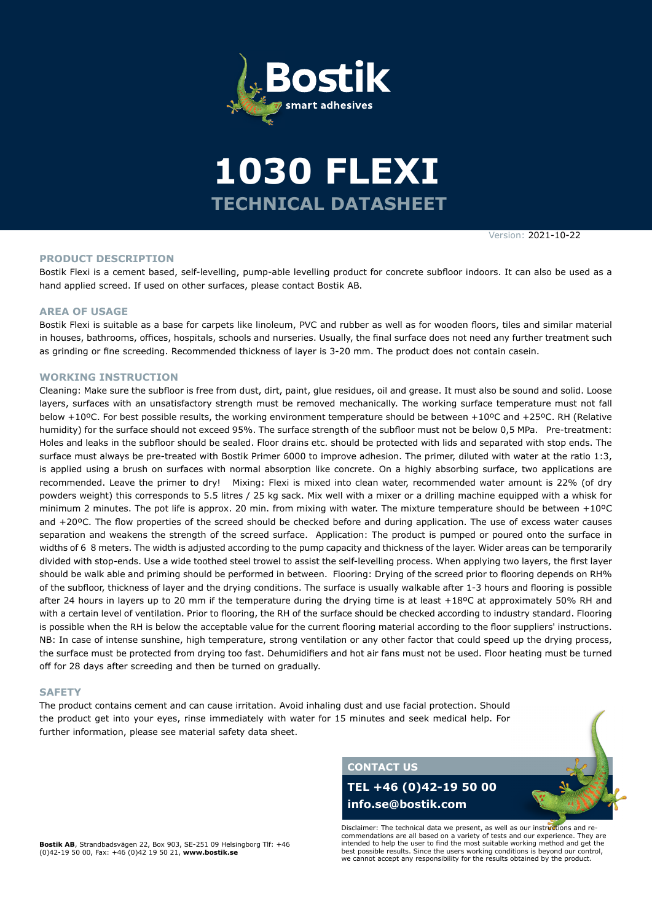



Version: 2021-10-22

#### **PRODUCT DESCRIPTION**

Bostik Flexi is a cement based, self-levelling, pump-able levelling product for concrete subfloor indoors. It can also be used as a hand applied screed. If used on other surfaces, please contact Bostik AB.

### **AREA OF USAGE**

Bostik Flexi is suitable as a base for carpets like linoleum, PVC and rubber as well as for wooden floors, tiles and similar material in houses, bathrooms, offices, hospitals, schools and nurseries. Usually, the final surface does not need any further treatment such as grinding or fine screeding. Recommended thickness of layer is 3-20 mm. The product does not contain casein.

#### **WORKING INSTRUCTION**

Cleaning: Make sure the subfloor is free from dust, dirt, paint, glue residues, oil and grease. It must also be sound and solid. Loose layers, surfaces with an unsatisfactory strength must be removed mechanically. The working surface temperature must not fall below +10ºC. For best possible results, the working environment temperature should be between +10ºC and +25ºC. RH (Relative humidity) for the surface should not exceed 95%. The surface strength of the subfloor must not be below 0,5 MPa. Pre-treatment: Holes and leaks in the subfloor should be sealed. Floor drains etc. should be protected with lids and separated with stop ends. The surface must always be pre-treated with Bostik Primer 6000 to improve adhesion. The primer, diluted with water at the ratio 1:3, is applied using a brush on surfaces with normal absorption like concrete. On a highly absorbing surface, two applications are recommended. Leave the primer to dry! Mixing: Flexi is mixed into clean water, recommended water amount is 22% (of dry powders weight) this corresponds to 5.5 litres / 25 kg sack. Mix well with a mixer or a drilling machine equipped with a whisk for minimum 2 minutes. The pot life is approx. 20 min. from mixing with water. The mixture temperature should be between +10ºC and +20ºC. The flow properties of the screed should be checked before and during application. The use of excess water causes separation and weakens the strength of the screed surface. Application: The product is pumped or poured onto the surface in widths of 6 8 meters. The width is adjusted according to the pump capacity and thickness of the layer. Wider areas can be temporarily divided with stop-ends. Use a wide toothed steel trowel to assist the self-levelling process. When applying two layers, the first layer should be walk able and priming should be performed in between. Flooring: Drying of the screed prior to flooring depends on RH% of the subfloor, thickness of layer and the drying conditions. The surface is usually walkable after 1-3 hours and flooring is possible after 24 hours in layers up to 20 mm if the temperature during the drying time is at least +18ºC at approximately 50% RH and with a certain level of ventilation. Prior to flooring, the RH of the surface should be checked according to industry standard. Flooring is possible when the RH is below the acceptable value for the current flooring material according to the floor suppliers' instructions. NB: In case of intense sunshine, high temperature, strong ventilation or any other factor that could speed up the drying process, the surface must be protected from drying too fast. Dehumidifiers and hot air fans must not be used. Floor heating must be turned off for 28 days after screeding and then be turned on gradually.

### **SAFETY**

The product contains cement and can cause irritation. Avoid inhaling dust and use facial protection. Should the product get into your eyes, rinse immediately with water for 15 minutes and seek medical help. For further information, please see material safety data sheet.



# **TEL +46 (0)42-19 50 00 info.se@bostik.com**

**Bostik AB**, Strandbadsvägen 22, Box 903, SE-251 09 Helsingborg Tlf: +46 (0)42-19 50 00, Fax: +46 (0)42 19 50 21, **www.bostik.se**

Disclaimer: The technical data we present, as well as our instructions and recommendations are all based on a variety of tests and our experience. They are intended to help the user to find the most suitable working method and get the best possible results. Since the users working conditions is beyond our control, we cannot accept any responsibility for the results obtained by the product.